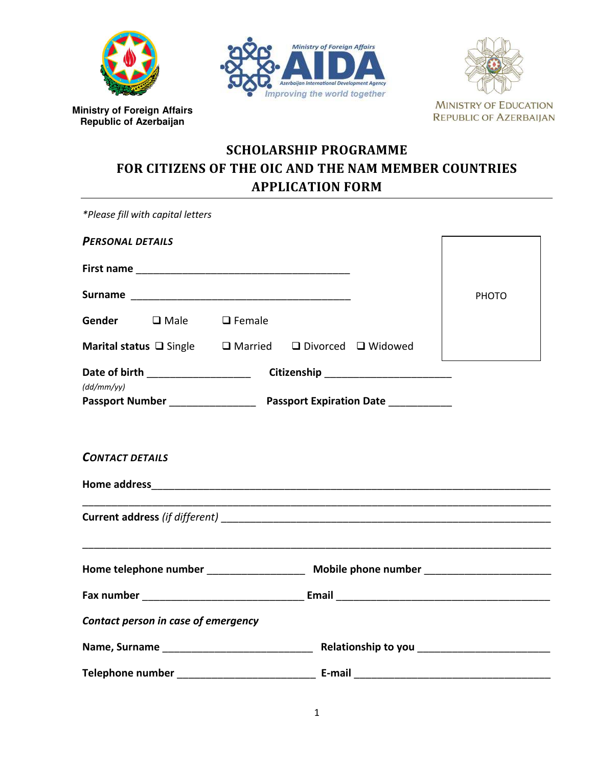

**Ministry of Foreign Affairs Republic of Azerbaijan**





# **SCHOLARSHIP PROGRAMME FOR CITIZENS OF THE OIC AND THE NAM MEMBER COUNTRIES APPLICATION FORM**

*\*Please fill with capital letters*

| <b>PERSONAL DETAILS</b>                                                                 |  |                                       |       |
|-----------------------------------------------------------------------------------------|--|---------------------------------------|-------|
|                                                                                         |  |                                       |       |
|                                                                                         |  |                                       | PHOTO |
|                                                                                         |  |                                       |       |
| Marital status □ Single □ Married □ Divorced □ Widowed                                  |  |                                       |       |
| (dd/mm/yy)                                                                              |  | Citizenship _________________________ |       |
|                                                                                         |  |                                       |       |
|                                                                                         |  |                                       |       |
| <b>CONTACT DETAILS</b>                                                                  |  |                                       |       |
|                                                                                         |  |                                       |       |
|                                                                                         |  |                                       |       |
|                                                                                         |  |                                       |       |
| Home telephone number ______________________ Mobile phone number ______________________ |  |                                       |       |
|                                                                                         |  |                                       |       |
| Contact person in case of emergency                                                     |  |                                       |       |
|                                                                                         |  |                                       |       |
|                                                                                         |  |                                       |       |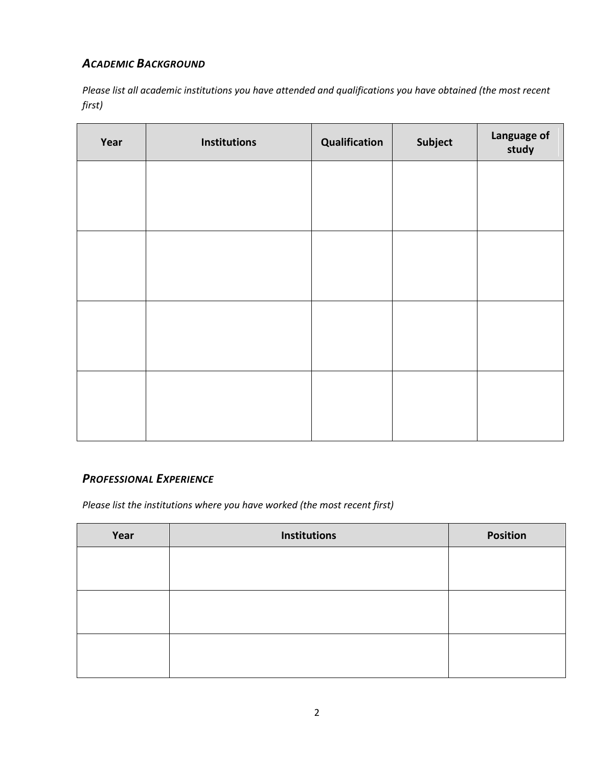# *ACADEMIC BACKGROUND*

*Please list all academic institutions you have attended and qualifications you have obtained (the most recent first)* 

| Year | <b>Institutions</b> | Qualification | Subject | Language of<br>study |
|------|---------------------|---------------|---------|----------------------|
|      |                     |               |         |                      |
|      |                     |               |         |                      |
|      |                     |               |         |                      |
|      |                     |               |         |                      |
|      |                     |               |         |                      |
|      |                     |               |         |                      |
|      |                     |               |         |                      |
|      |                     |               |         |                      |

# *PROFESSIONAL EXPERIENCE*

*Please list the institutions where you have worked (the most recent first)* 

| Year | <b>Institutions</b> | <b>Position</b> |
|------|---------------------|-----------------|
|      |                     |                 |
|      |                     |                 |
|      |                     |                 |
|      |                     |                 |
|      |                     |                 |
|      |                     |                 |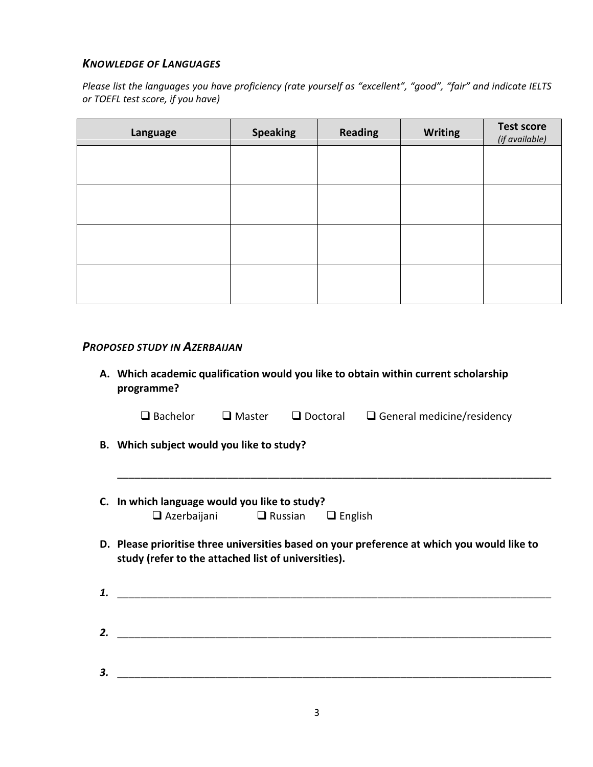### *KNOWLEDGE OF LANGUAGES*

*Please list the languages you have proficiency (rate yourself as "excellent", "good", "fair" and indicate IELTS or TOEFL test score, if you have)* 

| Language | <b>Speaking</b> | <b>Reading</b> | <b>Writing</b> | <b>Test score</b><br>(if available) |
|----------|-----------------|----------------|----------------|-------------------------------------|
|          |                 |                |                |                                     |
|          |                 |                |                |                                     |
|          |                 |                |                |                                     |
|          |                 |                |                |                                     |

#### *PROPOSED STUDY IN AZERBAIJAN*

**A. Which academic qualification would you like to obtain within current scholarship programme?** 

| $\Box$ Bachelor | $\square$ Master | $\Box$ Doctoral | $\Box$ General medicine/residency |
|-----------------|------------------|-----------------|-----------------------------------|
|-----------------|------------------|-----------------|-----------------------------------|

\_\_\_\_\_\_\_\_\_\_\_\_\_\_\_\_\_\_\_\_\_\_\_\_\_\_\_\_\_\_\_\_\_\_\_\_\_\_\_\_\_\_\_\_\_\_\_\_\_\_\_\_\_\_\_\_\_\_\_\_\_\_\_\_\_\_\_\_\_\_\_\_\_\_\_

- **B. Which subject would you like to study?**
- **C. In which language would you like to study?**  $\Box$  Azerbaijani  $\Box$  Russian  $\Box$  English
- **D. Please prioritise three universities based on your preference at which you would like to study (refer to the attached list of universities).**
- *1.* \_\_\_\_\_\_\_\_\_\_\_\_\_\_\_\_\_\_\_\_\_\_\_\_\_\_\_\_\_\_\_\_\_\_\_\_\_\_\_\_\_\_\_\_\_\_\_\_\_\_\_\_\_\_\_\_\_\_\_\_\_\_\_\_\_\_\_\_\_\_\_\_\_\_\_ *2.* \_\_\_\_\_\_\_\_\_\_\_\_\_\_\_\_\_\_\_\_\_\_\_\_\_\_\_\_\_\_\_\_\_\_\_\_\_\_\_\_\_\_\_\_\_\_\_\_\_\_\_\_\_\_\_\_\_\_\_\_\_\_\_\_\_\_\_\_\_\_\_\_\_\_\_
- *3.* \_\_\_\_\_\_\_\_\_\_\_\_\_\_\_\_\_\_\_\_\_\_\_\_\_\_\_\_\_\_\_\_\_\_\_\_\_\_\_\_\_\_\_\_\_\_\_\_\_\_\_\_\_\_\_\_\_\_\_\_\_\_\_\_\_\_\_\_\_\_\_\_\_\_\_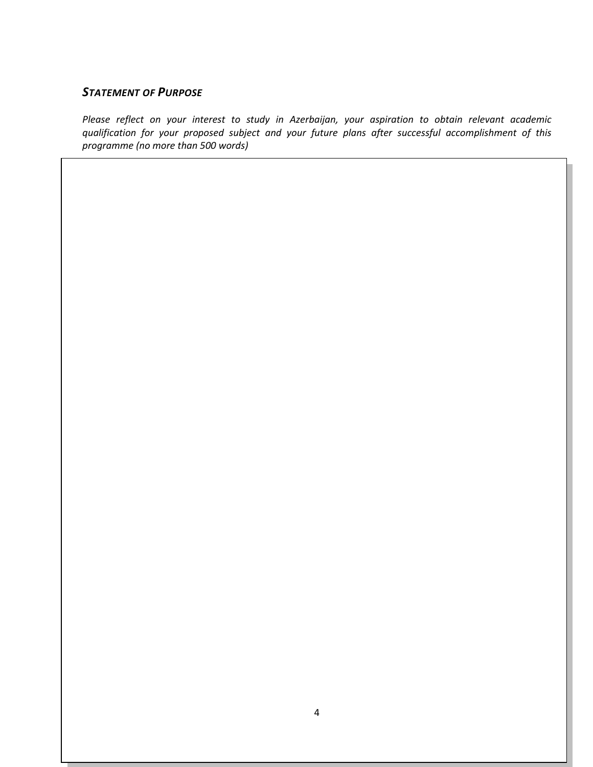### *STATEMENT OF PURPOSE*

*Please reflect on your interest to study in Azerbaijan, your aspiration to obtain relevant academic qualification for your proposed subject and your future plans after successful accomplishment of this programme (no more than 500 words)*